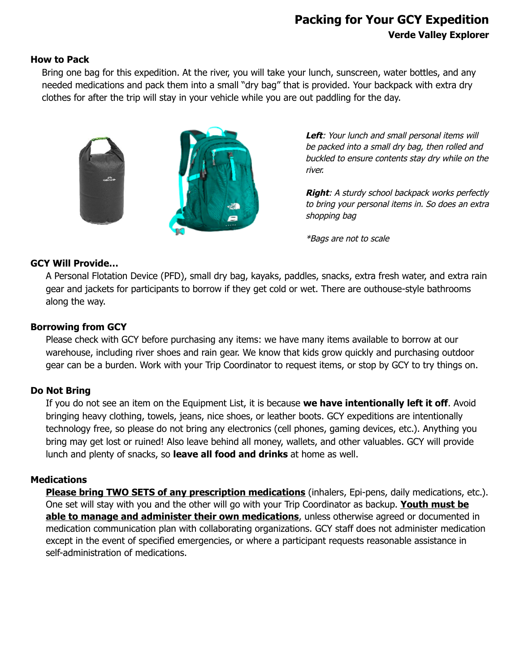# **Packing for Your GCY Expedition Verde Valley Explorer**

#### **How to Pack**

Bring one bag for this expedition. At the river, you will take your lunch, sunscreen, water bottles, and any needed medications and pack them into a small "dry bag" that is provided. Your backpack with extra dry clothes for after the trip will stay in your vehicle while you are out paddling for the day.



Left: Your lunch and small personal items will be packed into a small dry bag, then rolled and buckled to ensure contents stay dry while on the river.

**Right**: A sturdy school backpack works perfectly to bring your personal items in. So does an extra shopping bag

\*Bags are not to scale

#### **GCY Will Provide…**

A Personal Flotation Device (PFD), small dry bag, kayaks, paddles, snacks, extra fresh water, and extra rain gear and jackets for participants to borrow if they get cold or wet. There are outhouse-style bathrooms along the way.

## **Borrowing from GCY**

Please check with GCY before purchasing any items: we have many items available to borrow at our warehouse, including river shoes and rain gear. We know that kids grow quickly and purchasing outdoor gear can be a burden. Work with your Trip Coordinator to request items, or stop by GCY to try things on.

## **Do Not Bring**

If you do not see an item on the Equipment List, it is because **we have intentionally left it off**. Avoid bringing heavy clothing, towels, jeans, nice shoes, or leather boots. GCY expeditions are intentionally technology free, so please do not bring any electronics (cell phones, gaming devices, etc.). Anything you bring may get lost or ruined! Also leave behind all money, wallets, and other valuables. GCY will provide lunch and plenty of snacks, so **leave all food and drinks** at home as well.

#### **Medications**

**Please bring TWO SETS of any prescription medications** (inhalers, Epi-pens, daily medications, etc.). One set will stay with you and the other will go with your Trip Coordinator as backup. **Youth must be able to manage and administer their own medications**, unless otherwise agreed or documented in medication communication plan with collaborating organizations. GCY staff does not administer medication except in the event of specified emergencies, or where a participant requests reasonable assistance in self-administration of medications.